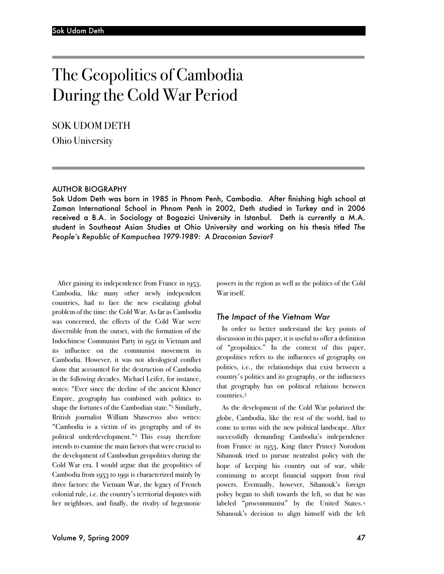# The Geopolitics of Cambodia During the Cold War Period

SOK UDOM DETH

Ohio University

#### AUTHOR BIOGRAPHY

Sok Udom Deth was born in 1985 in Phnom Penh, Cambodia. After finishing high school at Zaman International School in Phnom Penh in 2002, Deth studied in Turkey and in 2006 received a B.A. in Sociology at Bogazici University in Istanbul. Deth is currently a M.A. student in Southeast Asian Studies at Ohio University and working on his thesis titled *The People's Republic of Kampuchea 1979-1989: A Draconian Savior?*

After gaining its independence from France in 1953, Cambodia, like many other newly independent countries, had to face the new escalating global problem of the time: the Cold War. As far as Cambodia was concerned, the effects of the Cold War were discernible from the outset, with the formation of the Indochinese Communist Party in 1951 in Vietnam and its influence on the communist movement in Cambodia. However, it was not ideological conflict alone that accounted for the destruction of Cambodia in the following decades. Michael Leifer, for instance, notes: "Ever since the decline of the ancient Khmer Empire, geography has combined with politics to shape the fortunes of the Cambodian state."<sup>1</sup> Similarly, British journalist William Shawcross also writes: "Cambodia is a victim of its geography and of its political underdevelopment."2 This essay therefore intends to examine the main factors that were crucial to the development of Cambodian geopolitics during the Cold War era. I would argue that the geopolitics of Cambodia from 1953 to 1991 is characterized mainly by three factors: the Vietnam War, the legacy of French colonial rule, i.e. the country's territorial disputes with her neighbors, and finally, the rivalry of hegemonic powers in the region as well as the politics of the Cold War itself.

#### *The Impact of the Vietnam War*

In order to better understand the key points of discussion in this paper, it is useful to offer a definition of "geopolitics." In the context of this paper, geopolitics refers to the influences of geography on politics, i.e., the relationships that exist between a country's politics and its geography, or the influences that geography has on political relations between countries.3

As the development of the Cold War polarized the globe, Cambodia, like the rest of the world, had to come to terms with the new political landscape. After successfully demanding Cambodia's independence from France in 1953, King (later Prince) Norodom Sihanouk tried to pursue neutralist policy with the hope of keeping his country out of war, while continuing to accept financial support from rival powers. Eventually, however, Sihanouk's foreign policy began to shift towards the left, so that he was labeled "procommunist" by the United States.4 Sihanouk's decision to align himself with the left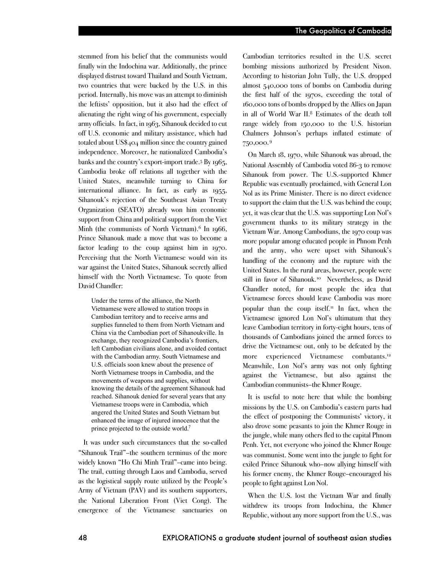stemmed from his belief that the communists would finally win the Indochina war. Additionally, the prince displayed distrust toward Thailand and South Vietnam, two countries that were backed by the U.S. in this period. Internally, his move was an attempt to diminish the leftists' opposition, but it also had the effect of alienating the right wing of his government, especially army officials. In fact, in 1963, Sihanouk decided to cut off U.S. economic and military assistance, which had totaled about US\$404 million since the country gained independence. Moreover, he nationalized Cambodia's banks and the country's export-import trade.5 By 1965, Cambodia broke off relations all together with the United States, meanwhile turning to China for international alliance. In fact, as early as 1955, Sihanouk's rejection of the Southeast Asian Treaty Organization (SEATO) already won him economic support from China and political support from the Viet Minh (the communists of North Vietnam).<sup>6</sup> In  $1966$ , Prince Sihanouk made a move that was to become a factor leading to the coup against him in 1970. Perceiving that the North Vietnamese would win its war against the United States, Sihanouk secretly allied himself with the North Vietnamese. To quote from David Chandler:

Under the terms of the alliance, the North Vietnamese were allowed to station troops in Cambodian territory and to receive arms and supplies funneled to them from North Vietnam and China via the Cambodian port of Sihanoukville. In exchange, they recognized Cambodia's frontiers, left Cambodian civilians alone, and avoided contact with the Cambodian army. South Vietnamese and U.S. officials soon knew about the presence of North Vietnamese troops in Cambodia, and the movements of weapons and supplies, without knowing the details of the agreement Sihanouk had reached. Sihanouk denied for several years that any Vietnamese troops were in Cambodia, which angered the United States and South Vietnam but enhanced the image of injured innocence that the prince projected to the outside world.7

It was under such circumstances that the so-called "Sihanouk Trail"–the southern terminus of the more widely known "Ho Chi Minh Trail"–came into being. The trail, cutting through Laos and Cambodia, served as the logistical supply route utilized by the People's Army of Vietnam (PAV) and its southern supporters, the National Liberation Front (Viet Cong). The emergence of the Vietnamese sanctuaries on Cambodian territories resulted in the U.S. secret bombing missions authorized by President Nixon. According to historian John Tully, the U.S. dropped almost 540,000 tons of bombs on Cambodia during the first half of the 1970s, exceeding the total of 160,000 tons of bombs dropped by the Allies on Japan in all of World War II.8 Estimates of the death toll range widely from 150,000 to the U.S. historian Chalmers Johnson's perhaps inflated estimate of 750,000.9  $\overline{a}$ 

On March 18, 1970, while Sihanouk was abroad, the National Assembly of Cambodia voted 86-3 to remove Sihanouk from power. The U.S.-supported Khmer Republic was eventually proclaimed, with General Lon Nol as its Prime Minister. There is no direct evidence to support the claim that the U.S. was behind the coup; yet, it was clear that the U.S. was supporting Lon Nol's government thanks to its military strategy in the Vietnam War. Among Cambodians, the 1970 coup was more popular among educated people in Phnom Penh and the army, who were upset with Sihanouk's handling of the economy and the rupture with the United States. In the rural areas, however, people were still in favor of Sihanouk.10 Nevertheless, as David Chandler noted, for most people the idea that Vietnamese forces should leave Cambodia was more popular than the coup itself.<sup> $\pi$ </sup> In fact, when the Vietnamese ignored Lon Nol's ultimatum that they leave Cambodian territory in forty-eight hours, tens of thousands of Cambodians joined the armed forces to drive the Vietnamese out, only to be defeated by the more experienced Vietnamese combatants. 12 Meanwhile, Lon Nol's army was not only fighting against the Vietnamese, but also against the Cambodian communists–the Khmer Rouge.

It is useful to note here that while the bombing missions by the U.S. on Cambodia's eastern parts had the effect of postponing the Communists' victory, it also drove some peasants to join the Khmer Rouge in the jungle, while many others fled to the capital Phnom Penh. Yet, not everyone who joined the Khmer Rouge was communist. Some went into the jungle to fight for exiled Prince Sihanouk who–now allying himself with his former enemy, the Khmer Rouge–encouraged his people to fight against Lon Nol.

When the U.S. lost the Vietnam War and finally withdrew its troops from Indochina, the Khmer Republic, without any more support from the U.S., was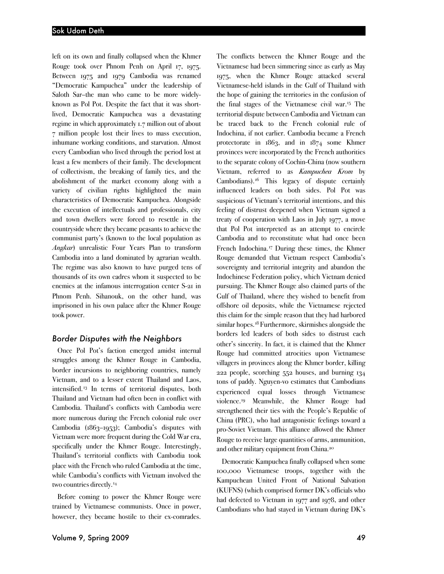left on its own and finally collapsed when the Khmer Rouge took over Phnom Penh on April 17, 1975. Between 1975 and 1979 Cambodia was renamed "Democratic Kampuchea" under the leadership of Saloth Sar–the man who came to be more widelyknown as Pol Pot. Despite the fact that it was shortlived, Democratic Kampuchea was a devastating regime in which approximately 1.7 million out of about 7 million people lost their lives to mass execution, inhumane working conditions, and starvation. Almost every Cambodian who lived through the period lost at least a few members of their family. The development of collectivism, the breaking of family ties, and the abolishment of the market economy along with a variety of civilian rights highlighted the main characteristics of Democratic Kampuchea. Alongside the execution of intellectuals and professionals, city and town dwellers were forced to resettle in the countryside where they became peasants to achieve the communist party's (known to the local population as *Angkar*) unrealistic Four Years Plan to transform Cambodia into a land dominated by agrarian wealth. The regime was also known to have purged tens of thousands of its own cadres whom it suspected to be enemies at the infamous interrogation center S-21 in Phnom Penh. Sihanouk, on the other hand, was imprisoned in his own palace after the Khmer Rouge took power.

#### *Border Disputes with the Neighbors*

Once Pol Pot's faction emerged amidst internal struggles among the Khmer Rouge in Cambodia, border incursions to neighboring countries, namely Vietnam, and to a lesser extent Thailand and Laos, intensified.13 In terms of territorial disputes, both Thailand and Vietnam had often been in conflict with Cambodia. Thailand's conflicts with Cambodia were more numerous during the French colonial rule over Cambodia (1863–1953); Cambodia's disputes with Vietnam were more frequent during the Cold War era, specifically under the Khmer Rouge. Interestingly, Thailand's territorial conflicts with Cambodia took place with the French who ruled Cambodia at the time, while Cambodia's conflicts with Vietnam involved the two countries directly.<sup>14</sup>

Before coming to power the Khmer Rouge were trained by Vietnamese communists. Once in power, however, they became hostile to their ex-comrades.

The conflicts between the Khmer Rouge and the Vietnamese had been simmering since as early as May 1975, when the Khmer Rouge attacked several Vietnamese-held islands in the Gulf of Thailand with the hope of gaining the territories in the confusion of the final stages of the Vietnamese civil war.15 The territorial dispute between Cambodia and Vietnam can be traced back to the French colonial rule of Indochina, if not earlier. Cambodia became a French protectorate in 1863, and in 1874 some Khmer provinces were incorporated by the French authorities to the separate colony of Cochin-China (now southern Vietnam, referred to as *Kampuchea Krom* by Cambodians).16 This legacy of dispute certainly influenced leaders on both sides. Pol Pot was suspicious of Vietnam's territorial intentions, and this feeling of distrust deepened when Vietnam signed a treaty of cooperation with Laos in July 1977, a move that Pol Pot interpreted as an attempt to encircle Cambodia and to reconstitute what had once been French Indochina.<sup>17</sup> During these times, the Khmer Rouge demanded that Vietnam respect Cambodia's sovereignty and territorial integrity and abandon the Indochinese Federation policy, which Vietnam denied pursuing. The Khmer Rouge also claimed parts of the Gulf of Thailand, where they wished to benefit from offshore oil deposits, while the Vietnamese rejected this claim for the simple reason that they had harbored similar hopes.18 Furthermore, skirmishes alongside the borders led leaders of both sides to distrust each other's sincerity. In fact, it is claimed that the Khmer Rouge had committed atrocities upon Vietnamese villagers in provinces along the Khmer border, killing 222 people, scorching 552 houses, and burning 134 tons of paddy. Nguyen-vo estimates that Cambodians experienced equal losses through Vietnamese violence.19 Meanwhile, the Khmer Rouge had strengthened their ties with the People's Republic of China (PRC), who had antagonistic feelings toward a pro-Soviet Vietnam. This alliance allowed the Khmer Rouge to receive large quantities of arms, ammunition, and other military equipment from China.20

Democratic Kampuchea finally collapsed when some 100,000 Vietnamese troops, together with the Kampuchean United Front of National Salvation (KUFNS) (which comprised former DK's officials who had defected to Vietnam in 1977 and 1978, and other Cambodians who had stayed in Vietnam during DK's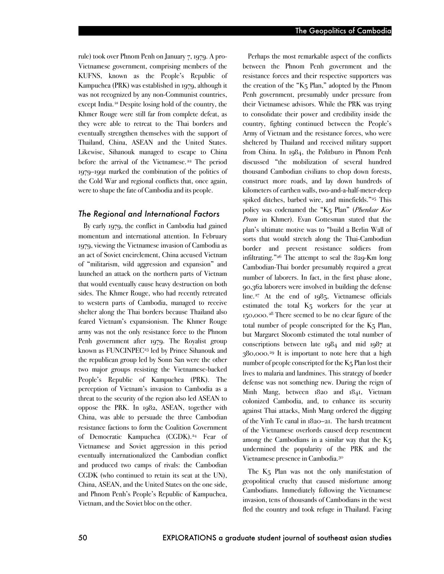rule) took over Phnom Penh on January 7, 1979. A pro-Vietnamese government, comprising members of the KUFNS, known as the People's Republic of Kampuchea (PRK) was established in 1979, although it was not recognized by any non-Communist countries, except India. <sup>21</sup> Despite losing hold of the country, the Khmer Rouge were still far from complete defeat, as they were able to retreat to the Thai borders and eventually strengthen themselves with the support of Thailand, China, ASEAN and the United States. Likewise, Sihanouk managed to escape to China before the arrival of the Vietnamese.<sup>22</sup> The period 1979–1991 marked the combination of the politics of the Cold War and regional conflicts that, once again, were to shape the fate of Cambodia and its people.

#### *The Regional and International Factors*

By early 1979, the conflict in Cambodia had gained momentum and international attention. In February 1979, viewing the Vietnamese invasion of Cambodia as an act of Soviet encirclement, China accused Vietnam of "militarism, wild aggression and expansion" and launched an attack on the northern parts of Vietnam that would eventually cause heavy destruction on both sides. The Khmer Rouge, who had recently retreated to western parts of Cambodia, managed to receive shelter along the Thai borders because Thailand also feared Vietnam's expansionism. The Khmer Rouge army was not the only resistance force to the Phnom Penh government after 1979. The Royalist group known as FUNCINPEC<sup>23</sup> led by Prince Sihanouk and the republican group led by Sonn San were the other two major groups resisting the Vietnamese-backed People's Republic of Kampuchea (PRK). The perception of Vietnam's invasion to Cambodia as a threat to the security of the region also led ASEAN to oppose the PRK. In 1982, ASEAN, together with China, was able to persuade the three Cambodian resistance factions to form the Coalition Government of Democratic Kampuchea (CGDK).24 Fear of Vietnamese and Soviet aggression in this period eventually internationalized the Cambodian conflict and produced two camps of rivals: the Cambodian CGDK (who continued to retain its seat at the UN), China, ASEAN, and the United States on the one side, and Phnom Penh's People's Republic of Kampuchea, Vietnam, and the Soviet bloc on the other.

Perhaps the most remarkable aspect of the conflicts between the Phnom Penh government and the resistance forces and their respective supporters was the creation of the "K5 Plan," adopted by the Phnom Penh government, presumably under pressure from their Vietnamese advisors. While the PRK was trying to consolidate their power and credibility inside the country, fighting continued between the People's Army of Vietnam and the resistance forces, who were sheltered by Thailand and received military support from China. In 1984, the Politburo in Phnom Penh discussed "the mobilization of several hundred thousand Cambodian civilians to chop down forests, construct more roads, and lay down hundreds of kilometers of earthen walls, two-and-a-half-meter-deep spiked ditches, barbed wire, and minefields."25 This policy was codenamed the "K5 Plan" (*Phenkar Kor Pram* in Khmer). Evan Gottesman stated that the plan's ultimate motive was to "build a Berlin Wall of sorts that would stretch along the Thai-Cambodian border and prevent resistance soldiers from infiltrating."26 The attempt to seal the 829-Km long Cambodian-Thai border presumably required a great number of laborers. In fact, in the first phase alone, 90,362 laborers were involved in building the defense line.27 At the end of 1985, Vietnamese officials estimated the total K5 workers for the year at 150,000.28 There seemed to be no clear figure of the total number of people conscripted for the K5 Plan, but Margaret Slocomb estimated the total number of conscriptions between late 1984 and mid 1987 at 380,000.29 It is important to note here that a high number of people conscripted for the  $K_5$  Plan lost their lives to malaria and landmines. This strategy of border defense was not something new. During the reign of Minh Mang, between 1820 and 1841, Vietnam colonized Cambodia, and, to enhance its security against Thai attacks, Minh Mang ordered the digging of the Vinh Te canal in 1820–21. The harsh treatment of the Vietnamese overlords caused deep resentment among the Cambodians in a similar way that the  $K<sub>5</sub>$ undermined the popularity of the PRK and the Vietnamese presence in Cambodia.30

The K<sub>5</sub> Plan was not the only manifestation of geopolitical cruelty that caused misfortune among Cambodians. Immediately following the Vietnamese invasion, tens of thousands of Cambodians in the west fled the country and took refuge in Thailand. Facing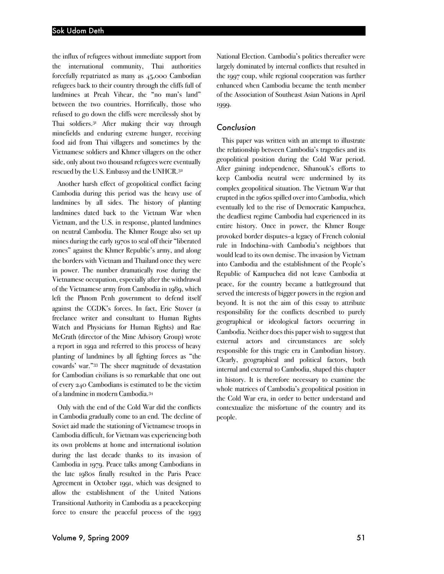the influx of refugees without immediate support from the international community, Thai authorities forcefully repatriated as many as 45,000 Cambodian refugees back to their country through the cliffs full of landmines at Preah Vihear, the "no man's land" between the two countries. Horrifically, those who refused to go down the cliffs were mercilessly shot by Thai soldiers.31 After making their way through minefields and enduring extreme hunger, receiving food aid from Thai villagers and sometimes by the Vietnamese soldiers and Khmer villagers on the other side, only about two thousand refugees were eventually rescued by the U.S. Embassy and the UNHCR.32

Another harsh effect of geopolitical conflict facing Cambodia during this period was the heavy use of landmines by all sides. The history of planting landmines dated back to the Vietnam War when Vietnam, and the U.S. in response, planted landmines on neutral Cambodia. The Khmer Rouge also set up mines during the early 1970s to seal off their "liberated zones" against the Khmer Republic's army, and along the borders with Vietnam and Thailand once they were in power. The number dramatically rose during the Vietnamese occupation, especially after the withdrawal of the Vietnamese army from Cambodia in 1989, which left the Phnom Penh government to defend itself against the CGDK's forces. In fact, Eric Stover (a freelance writer and consultant to Human Rights Watch and Physicians for Human Rights) and Rae McGrath (director of the Mine Advisory Group) wrote a report in 1992 and referred to this process of heavy planting of landmines by all fighting forces as "the cowards' war."33 The sheer magnitude of devastation for Cambodian civilians is so remarkable that one out of every 240 Cambodians is estimated to be the victim of a landmine in modern Cambodia.34

Only with the end of the Cold War did the conflicts in Cambodia gradually come to an end. The decline of Soviet aid made the stationing of Vietnamese troops in Cambodia difficult, for Vietnam was experiencing both its own problems at home and international isolation during the last decade thanks to its invasion of Cambodia in 1979. Peace talks among Cambodians in the late 1980s finally resulted in the Paris Peace Agreement in October 1991, which was designed to allow the establishment of the United Nations Transitional Authority in Cambodia as a peacekeeping force to ensure the peaceful process of the 1993

National Election. Cambodia's politics thereafter were largely dominated by internal conflicts that resulted in the 1997 coup, while regional cooperation was further enhanced when Cambodia became the tenth member of the Association of Southeast Asian Nations in April 1999.

#### *Conclusion*

This paper was written with an attempt to illustrate the relationship between Cambodia's tragedies and its geopolitical position during the Cold War period. After gaining independence, Sihanouk's efforts to keep Cambodia neutral were undermined by its complex geopolitical situation. The Vietnam War that erupted in the 1960s spilled over into Cambodia, which eventually led to the rise of Democratic Kampuchea, the deadliest regime Cambodia had experienced in its entire history. Once in power, the Khmer Rouge provoked border disputes–a legacy of French colonial rule in Indochina–with Cambodia's neighbors that would lead to its own demise. The invasion by Vietnam into Cambodia and the establishment of the People's Republic of Kampuchea did not leave Cambodia at peace, for the country became a battleground that served the interests of bigger powers in the region and beyond. It is not the aim of this essay to attribute responsibility for the conflicts described to purely geographical or ideological factors occurring in Cambodia. Neither does this paper wish to suggest that external actors and circumstances are solely responsible for this tragic era in Cambodian history. Clearly, geographical and political factors, both internal and external to Cambodia, shaped this chapter in history. It is therefore necessary to examine the whole matrices of Cambodia's geopolitical position in the Cold War era, in order to better understand and contextualize the misfortune of the country and its people.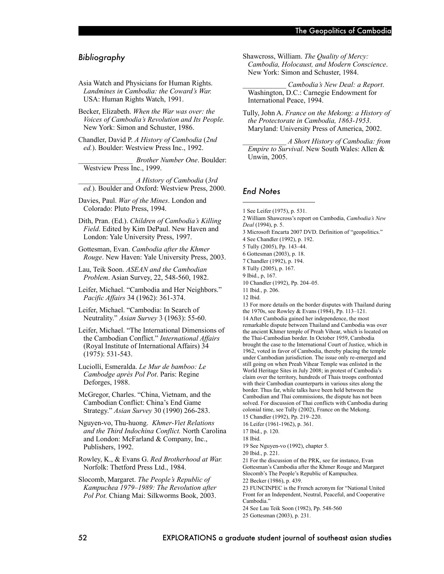### *Bibliography*

- Asia Watch and Physicians for Human Rights. *Landmines in Cambodia: the Coward's War.*  USA: Human Rights Watch, 1991.
- Becker, Elizabeth. *When the War was over: the Voices of Cambodia's Revolution and Its People.*  New York: Simon and Schuster, 1986.
- Chandler, David P. *A History of Cambodia* (*2nd ed.*). Boulder: Westview Press Inc., 1992.

\_\_\_\_\_\_\_\_\_\_\_\_\_\_\_ *Brother Number One*. Boulder: Westview Press Inc., 1999.

- \_\_\_\_\_\_\_\_\_\_\_\_\_\_\_ *A History of Cambodia* (*3rd ed.*). Boulder and Oxford: Westview Press, 2000.
- Davies, Paul. *War of the Mines*. London and Colorado: Pluto Press, 1994.
- Dith, Pran. (Ed.). *Children of Cambodia's Killing Field*. Edited by Kim DePaul. New Haven and London: Yale University Press, 1997.
- Gottesman, Evan. *Cambodia after the Khmer Rouge*. New Haven: Yale University Press, 2003.
- Lau, Teik Soon. *ASEAN and the Cambodian Problem*. Asian Survey, 22, 548-560, 1982.
- Leifer, Michael. "Cambodia and Her Neighbors." *Pacific Affairs* 34 (1962): 361-374.
- Leifer, Michael. "Cambodia: In Search of Neutrality." *Asian Survey* 3 (1963): 55-60.
- Leifer, Michael. "The International Dimensions of the Cambodian Conflict." *International Affairs*  (Royal Institute of International Affairs) 34 (1975): 531-543.
- Luciolli, Esmeralda. *Le Mur de bamboo: Le Cambodge après Pol Pot*. Paris: Regine Deforges, 1988.
- McGregor, Charles. "China, Vietnam, and the Cambodian Conflict: China's End Game Strategy." *Asian Survey* 30 (1990) 266-283.
- Nguyen-vo, Thu-huong. *Khmer-Viet Relations and the Third Indochina Conflict.* North Carolina and London: McFarland & Company, Inc., Publishers, 1992.
- Rowley, K., & Evans G. *Red Brotherhood at War.* Norfolk: Thetford Press Ltd., 1984.
- Slocomb, Margaret. *The People's Republic of Kampuchea 1979–1989: The Revolution after Pol Pot.* Chiang Mai: Silkworms Book, 2003.
- Shawcross, William. *The Quality of Mercy: Cambodia, Holocaust, and Modern Conscience*. New York: Simon and Schuster, 1984.
- \_\_\_\_\_\_\_\_\_\_\_\_ *Cambodia's New Deal: a Report*. Washington, D.C.: Carnegie Endowment for International Peace, 1994.
- Tully, John A. *France on the Mekong: a History of the Protectorate in Cambodia, 1863-1953*. Maryland: University Press of America, 2002.

\_\_\_\_\_\_\_\_\_\_\_\_ *A Short History of Cambodia: from Empire to Survival*. New South Wales: Allen & Unwin, 2005.

## *End Notes*

1 See Leifer (1975), p. 531. 2 William Shawcross's report on Cambodia, *Cambodia's New Deal* (1994), p. 5. 3 Microsoft Encarta 2007 DVD. Definition of "geopolitics." 4 See Chandler (1992), p. 192. 5 Tully (2005), Pp. 143–44. 6 Gottesman (2003), p. 18. 7 Chandler (1992), p. 194. 8 Tully (2005), p. 167. 9 Ibid., p, 167. 10 Chandler (1992), Pp. 204–05. 11 Ibid., p. 206. 12 Ibid. 13 For more details on the border disputes with Thailand during the 1970s, see Rowley & Evans (1984), Pp. 113–121. 14 After Cambodia gained her independence, the most remarkable dispute between Thailand and Cambodia was over the ancient Khmer temple of Preah Vihear, which is located on the Thai-Cambodian border. In October 1959, Cambodia brought the case to the International Court of Justice, which in 1962, voted in favor of Cambodia, thereby placing the temple under Cambodian jurisdiction. The issue only re-emerged and still going on when Preah Vihear Temple was enlisted in the World Heritage Sites in July 2008; in protest of Cambodia's claim over the territory, hundreds of Thais troops confronted with their Cambodian counterparts in various sites along the border. Thus far, while talks have been held between the Cambodian and Thai commissions, the dispute has not been solved. For discussion of Thai conflicts with Cambodia during colonial time, see Tully (2002), France on the Mekong. 15 Chandler (1992), Pp. 219–220. 16 Leifer (1961-1962), p. 361. 17 Ibid., p. 120. 18 Ibid. 19 See Nguyen-vo (1992), chapter 5. 20 Ibid., p. 221. 21 For the discussion of the PRK, see for instance, Evan Gottesman's Cambodia after the Khmer Rouge and Margaret Slocomb's The People's Republic of Kampuchea. 22 Becker (1986), p. 439. 23 FUNCINPEC is the French acronym for "National United Front for an Independent, Neutral, Peaceful, and Cooperative Cambodia.'

24 See Lau Teik Soon (1982), Pp. 548-560

<sup>25</sup> Gottesman (2003), p. 231.